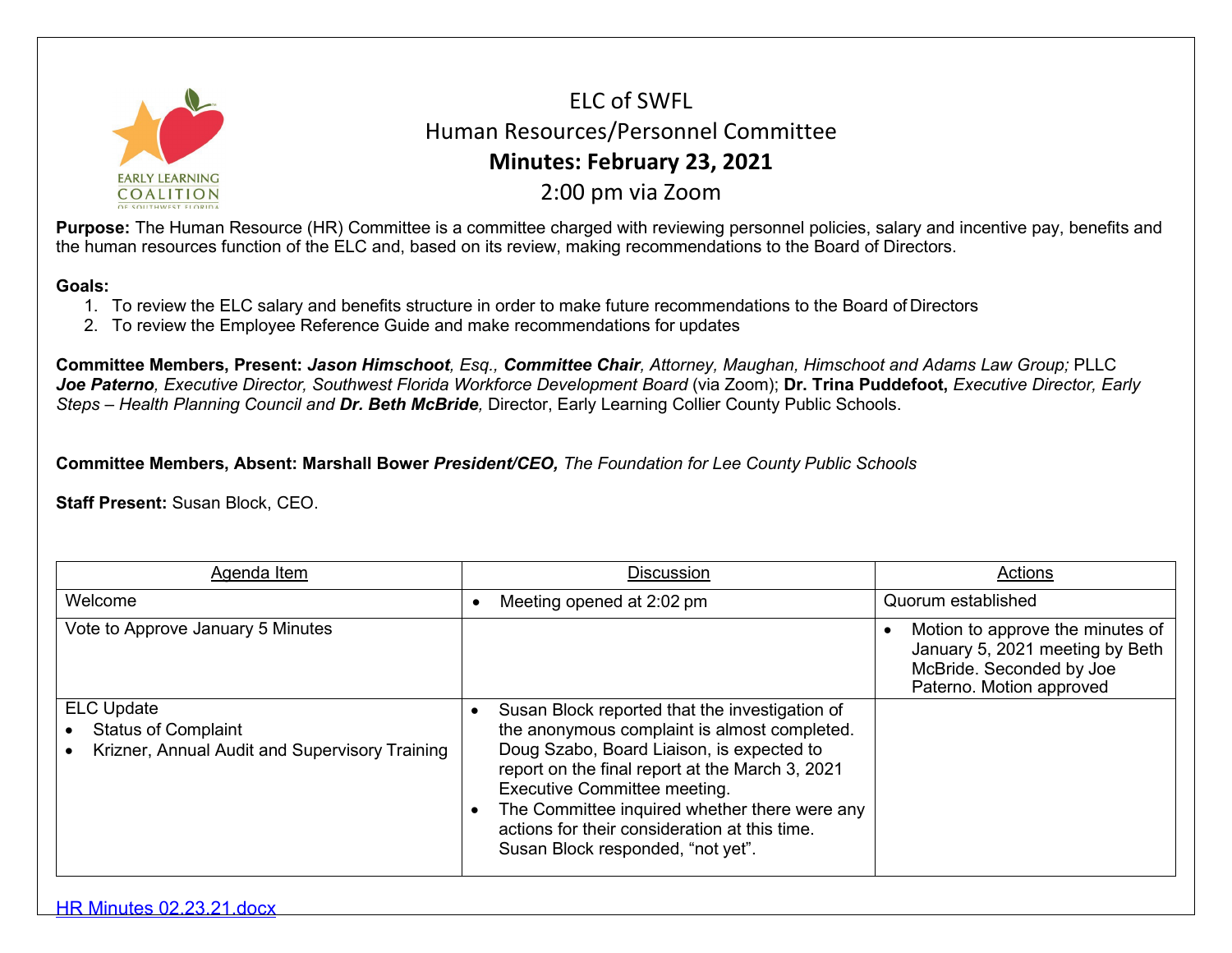

ELC of SWFL Human Resources/Personnel Committee **Minutes: February 23, 2021** 2:00 pm via Zoom

**Purpose:** The Human Resource (HR) Committee is a committee charged with reviewing personnel policies, salary and incentive pay, benefits and the human resources function of the ELC and, based on its review, making recommendations to the Board of Directors.

## **Goals:**

- 1. To review the ELC salary and benefits structure in order to make future recommendations to the Board of Directors
- 2. To review the Employee Reference Guide and make recommendations for updates

**Committee Members, Present:** *Jason Himschoot, Esq., Committee Chair, Attorney, Maughan, Himschoot and Adams Law Group;* PLLC *Joe Paterno, Executive Director, Southwest Florida Workforce Development Board* (via Zoom); **Dr. Trina Puddefoot,** *Executive Director, Early Steps – Health Planning Council and Dr. Beth McBride,* Director, Early Learning Collier County Public Schools.

**Committee Members, Absent: Marshall Bower** *President/CEO, The Foundation for Lee County Public Schools*

**Staff Present:** Susan Block, CEO.

| Agenda Item                                                                                       | Discussion                                                                                                                                                                                                                                                                                                                                                                   | Actions                                                                                                                     |
|---------------------------------------------------------------------------------------------------|------------------------------------------------------------------------------------------------------------------------------------------------------------------------------------------------------------------------------------------------------------------------------------------------------------------------------------------------------------------------------|-----------------------------------------------------------------------------------------------------------------------------|
| Welcome                                                                                           | Meeting opened at 2:02 pm                                                                                                                                                                                                                                                                                                                                                    | Quorum established                                                                                                          |
| Vote to Approve January 5 Minutes                                                                 |                                                                                                                                                                                                                                                                                                                                                                              | Motion to approve the minutes of<br>January 5, 2021 meeting by Beth<br>McBride. Seconded by Joe<br>Paterno. Motion approved |
| <b>ELC Update</b><br><b>Status of Complaint</b><br>Krizner, Annual Audit and Supervisory Training | Susan Block reported that the investigation of<br>the anonymous complaint is almost completed.<br>Doug Szabo, Board Liaison, is expected to<br>report on the final report at the March 3, 2021<br><b>Executive Committee meeting.</b><br>The Committee inquired whether there were any<br>actions for their consideration at this time.<br>Susan Block responded, "not yet". |                                                                                                                             |